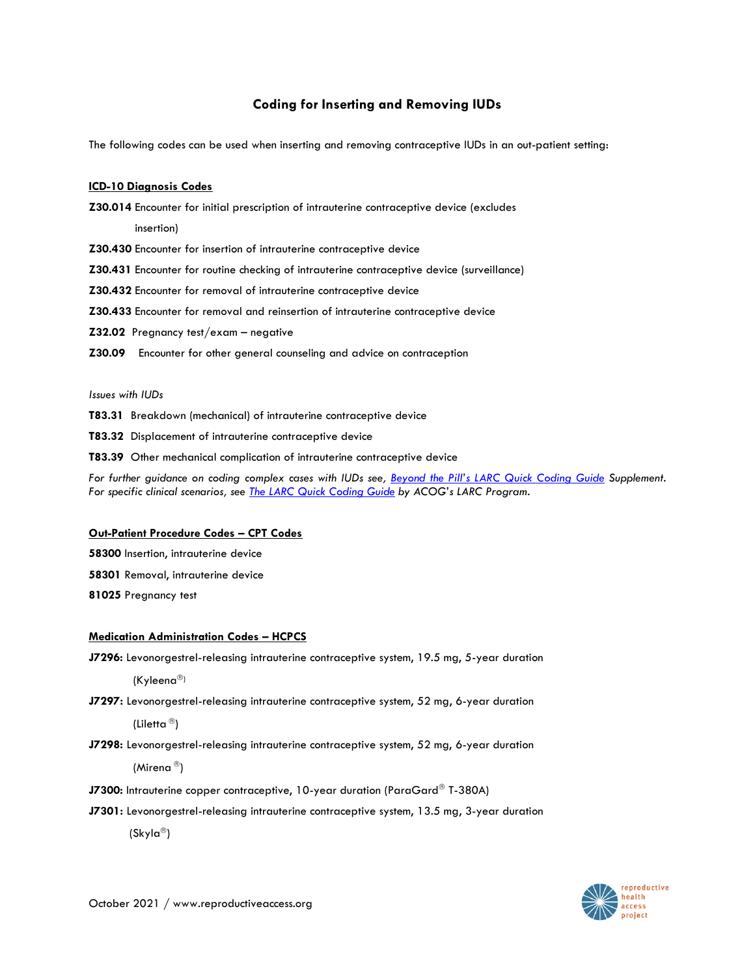# **Coding for Inserting and Removing IUDs**

The following codes can be used when inserting and removing contraceptive IUDs in an out-patient setting:

# **ICD-10 Diagnosis Codes**

**Z30.014** Encounter for initial prescription of intrauterine contraceptive device (excludes

insertion)

- **Z30.430** Encounter for insertion of intrauterine contraceptive device
- **Z30.431** Encounter for routine checking of intrauterine contraceptive device (surveillance)

**Z30.432** Encounter for removal of intrauterine contraceptive device

- **Z30.433** Encounter for removal and reinsertion of intrauterine contraceptive device
- **Z32.02** Pregnancy test/exam negative
- **Z30.09** Encounter for other general counseling and advice on contraception

#### *Issues with IUDs*

- **T83.31** Breakdown (mechanical) of intrauterine contraceptive device
- **T83.32** Displacement of intrauterine contraceptive device
- **T83.39** Other mechanical complication of intrauterine contraceptive device

*For further guidance on coding complex cases with IUDs see, Beyond the Pill's [LARC Quick Coding](http://beyondthepill.ucsf.edu/sites/beyondthepill.ucsf.edu/files/LARC%20Quick%20Coding%20Guide%20Supplement.pdf) Guide Supplement. For specific clinical scenarios, see [The LARC Quick Coding Guide](https://www.acog.org/-/media/project/acog/acogorg/files/pdfs/publications/larc-coding-guide.pdf) by ACOG's LARC Program.*

#### **Out-Patient Procedure Codes – CPT Codes**

**58300** Insertion, intrauterine device

- **58301** Removal, intrauterine device
- **81025** Pregnancy test

#### **Medication Administration Codes – HCPCS**

**J7296:** Levonorgestrel-releasing intrauterine contraceptive system, 19.5 mg, 5-year duration

 $(Kyleena^{\circledR})$ 

**J7297:** Levonorgestrel-releasing intrauterine contraceptive system, 52 mg, 6-year duration

(Liletta  $^{\circledR}$ )

**J7298:** Levonorgestrel-releasing intrauterine contraceptive system, 52 mg, 6-year duration

(Mirena<sup>®</sup>)

- **J7300:** Intrauterine copper contraceptive, 10-year duration (ParaGard® T-380A)
- **J7301:** Levonorgestrel-releasing intrauterine contraceptive system, 13.5 mg, 3-year duration

(Skyla<sup>®</sup>)